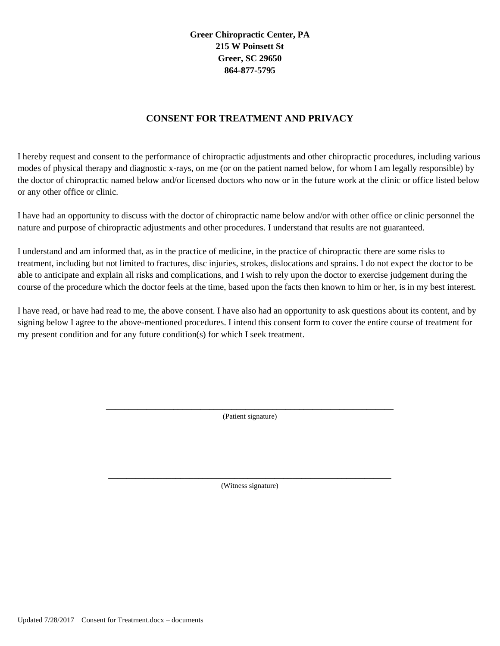**Greer Chiropractic Center, PA 215 W Poinsett St Greer, SC 29650 864-877-5795**

## **CONSENT FOR TREATMENT AND PRIVACY**

I hereby request and consent to the performance of chiropractic adjustments and other chiropractic procedures, including various modes of physical therapy and diagnostic x-rays, on me (or on the patient named below, for whom I am legally responsible) by the doctor of chiropractic named below and/or licensed doctors who now or in the future work at the clinic or office listed below or any other office or clinic.

I have had an opportunity to discuss with the doctor of chiropractic name below and/or with other office or clinic personnel the nature and purpose of chiropractic adjustments and other procedures. I understand that results are not guaranteed.

I understand and am informed that, as in the practice of medicine, in the practice of chiropractic there are some risks to treatment, including but not limited to fractures, disc injuries, strokes, dislocations and sprains. I do not expect the doctor to be able to anticipate and explain all risks and complications, and I wish to rely upon the doctor to exercise judgement during the course of the procedure which the doctor feels at the time, based upon the facts then known to him or her, is in my best interest.

I have read, or have had read to me, the above consent. I have also had an opportunity to ask questions about its content, and by signing below I agree to the above-mentioned procedures. I intend this consent form to cover the entire course of treatment for my present condition and for any future condition(s) for which I seek treatment.

> **\_\_\_\_\_\_\_\_\_\_\_\_\_\_\_\_\_\_\_\_\_\_\_\_\_\_\_\_\_\_\_\_\_\_\_\_\_\_\_\_\_\_\_\_\_\_\_\_\_\_\_\_\_\_\_\_\_\_\_\_\_\_\_\_** (Patient signature)

> **\_\_\_\_\_\_\_\_\_\_\_\_\_\_\_\_\_\_\_\_\_\_\_\_\_\_\_\_\_\_\_\_\_\_\_\_\_\_\_\_\_\_\_\_\_\_\_\_\_\_\_\_\_\_\_\_\_\_\_\_\_\_\_** (Witness signature)